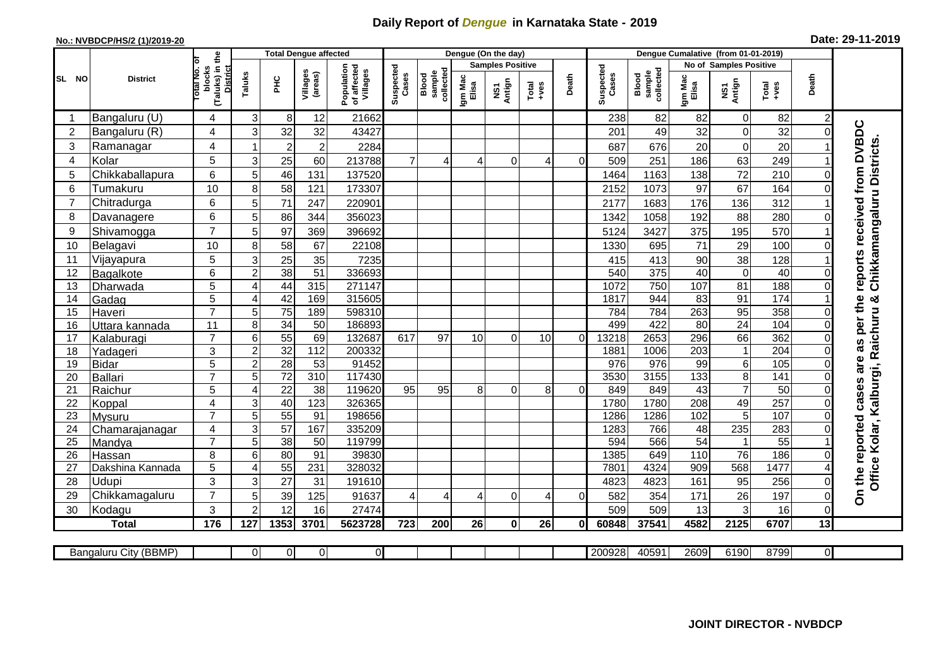## **Daily Report of** *Dengue* **in Karnataka State - 2019**

## **No.: NVBDCP/HS/2 (1)/2019-20 Date: 29-11-2019**

|                |                           |                                                             |                |                 | <b>Total Dengue affected</b> |                                       |                    |                              |                  | Dengue (On the day)     |                                                              |          |                    |                              |                         |                               |                 |          |                                                             |
|----------------|---------------------------|-------------------------------------------------------------|----------------|-----------------|------------------------------|---------------------------------------|--------------------|------------------------------|------------------|-------------------------|--------------------------------------------------------------|----------|--------------------|------------------------------|-------------------------|-------------------------------|-----------------|----------|-------------------------------------------------------------|
|                |                           |                                                             |                |                 |                              |                                       |                    |                              |                  | <b>Samples Positive</b> |                                                              |          |                    |                              |                         | <b>No of Samples Positive</b> |                 |          |                                                             |
| SL NO          | <b>District</b>           | (Taluks) in the<br>otal No. of<br>blocks<br><b>District</b> | Taluks         | PНC             | Villages<br>(areas)          | Population<br>of affected<br>Villages | Suspected<br>Cases | collectec<br>sample<br>Blood | Igm Mac<br>Elisa | NS1<br>Antign           | $\begin{array}{c}\n\text{Total} \\ \text{Area}\n\end{array}$ | Death    | Suspected<br>Cases | sample<br>collected<br>Blood | Igm Mac<br>Elisa        | NS1<br>Antign                 | Total<br>+ves   | Death    |                                                             |
| -1             | Bangaluru (U)             | 4                                                           | $\overline{3}$ | -81             | 12                           | 21662                                 |                    |                              |                  |                         |                                                              |          | 238                | 82                           | 82                      | $\mathbf 0$                   | 82              | 2        |                                                             |
| $\overline{c}$ | Bangaluru (R)             | 4                                                           | 3              | 32              | 32                           | 43427                                 |                    |                              |                  |                         |                                                              |          | 201                | 49                           | 32                      | $\mathbf 0$                   | 32              | $\Omega$ | as per the reports received from DVBDC                      |
| 3              | Ramanagar                 | 4                                                           |                | $\overline{c}$  | $\overline{2}$               | 2284                                  |                    |                              |                  |                         |                                                              |          | 687                | 676                          | 20                      | $\mathbf 0$                   | 20              |          | Chikkamangaluru Districts.                                  |
| 4              | Kolar                     | 5                                                           | $\overline{3}$ | 25              | 60                           | 213788                                | $\overline{7}$     | 4                            | 4                | $\Omega$                |                                                              | $\Omega$ | 509                | 251                          | 186                     | 63                            | 249             |          |                                                             |
| 5              | Chikkaballapura           | 6                                                           | 5              | 46              | 131                          | 137520                                |                    |                              |                  |                         |                                                              |          | 1464               | 1163                         | 138                     | $\overline{72}$               | 210             |          |                                                             |
| 6              | Tumakuru                  | 10                                                          | 8              | 58              | 121                          | 173307                                |                    |                              |                  |                         |                                                              |          | 2152               | 1073                         | 97                      | 67                            | 164             |          |                                                             |
| $\overline{7}$ | Chitradurga               | 6                                                           | 5              | 71              | 247                          | 220901                                |                    |                              |                  |                         |                                                              |          | 2177               | 1683                         | 176                     | 136                           | 312             |          |                                                             |
| 8              | Davanagere                | 6                                                           | 5              | 86              | 344                          | 356023                                |                    |                              |                  |                         |                                                              |          | 1342               | 1058                         | 192                     | 88                            | 280             |          |                                                             |
| 9              | Shivamogga                | $\overline{7}$                                              | 5              | 97              | 369                          | 396692                                |                    |                              |                  |                         |                                                              |          | 5124               | 3427                         | 375                     | 195                           | 570             |          |                                                             |
| 10             | Belagavi                  | 10                                                          | 8              | 58              | 67                           | 22108                                 |                    |                              |                  |                         |                                                              |          | 1330               | 695                          | 71                      | 29                            | 100             |          |                                                             |
| 11             | Vijayapura                | 5                                                           | 3              | 25              | 35                           | 7235                                  |                    |                              |                  |                         |                                                              |          | 415                | 413                          | 90                      | 38                            | 128             |          |                                                             |
| 12             | Bagalkote                 | 6                                                           | $\overline{2}$ | $\overline{38}$ | 51                           | 336693                                |                    |                              |                  |                         |                                                              |          | 540                | 375                          | 40                      | $\overline{0}$                | 40              |          |                                                             |
| 13             | Dharwada                  | $\overline{5}$                                              | 4              | 44              | 315                          | 271147                                |                    |                              |                  |                         |                                                              |          | 1072               | 750                          | 107                     | 81                            | 188             |          |                                                             |
| 14             | Gadag                     | $\overline{5}$                                              | 4              | 42              | 169                          | 315605                                |                    |                              |                  |                         |                                                              |          | 1817               | 944                          | $\overline{83}$         | 91                            | 174             |          |                                                             |
| 15             | Haveri                    | $\overline{7}$                                              | 5              | $\overline{75}$ | 189                          | 598310                                |                    |                              |                  |                         |                                                              |          | 784                | 784                          | 263                     | 95                            | 358             |          |                                                             |
| 16             | Uttara kannada            | 11                                                          | 8              | $\overline{34}$ | 50                           | 186893                                |                    |                              |                  |                         |                                                              |          | 499                | 422                          | $\overline{80}$         | $\overline{24}$               | 104             |          |                                                             |
| 17             | Kalaburagi                | $\overline{7}$                                              | $6\phantom{a}$ | 55              | 69                           | 132687                                | 617                | 97                           | 10               | $\Omega$                | 10                                                           | $\Omega$ | 13218              | 2653                         | 296                     | 66                            | 362             |          |                                                             |
| 18             | Yadageri                  | 3                                                           | $\overline{2}$ | 32              | 112                          | 200332                                |                    |                              |                  |                         |                                                              |          | 1881               | 1006                         | 203                     | $\mathbf 1$                   | 204             |          |                                                             |
| 19             | <b>Bidar</b>              | $\overline{5}$                                              | $\overline{2}$ | 28              | 53                           | 91452                                 |                    |                              |                  |                         |                                                              |          | 976                | 976                          | 99                      | $\overline{6}$                | 105             |          | are                                                         |
| 20             | <b>Ballari</b>            | $\overline{7}$                                              | 5              | 72              | 310                          | 117430                                |                    |                              |                  |                         |                                                              |          | 3530               | 3155                         | 133                     | $\overline{8}$                | 141             |          |                                                             |
| 21             | Raichur                   | 5                                                           | 4              | 22              | 38                           | 119620                                | 95                 | 95                           | 8                | $\Omega$                | 8                                                            | $\Omega$ | 849                | 849                          | 43                      | $\overline{7}$                | 50              |          |                                                             |
| 22             | Koppal                    | 4                                                           | 3              | 40              | 123                          | 326365                                |                    |                              |                  |                         |                                                              |          | 1780               | 1780                         | 208                     | 49                            | 257             |          |                                                             |
| 23             | Mysuru                    | $\overline{7}$                                              | 5              | 55              | 91                           | 198656                                |                    |                              |                  |                         |                                                              |          | 1286               | 1286                         | 102                     | 5                             | 107             |          |                                                             |
| 24             | Chamarajanagar            | 4                                                           | 3              | $\overline{57}$ | 167                          | 335209                                |                    |                              |                  |                         |                                                              |          | 1283               | 766                          | $\overline{48}$         | 235                           | 283             |          |                                                             |
| 25             | Mandya                    | $\overline{7}$                                              | 5              | $\overline{38}$ | 50                           | 119799                                |                    |                              |                  |                         |                                                              |          | 594                | 566                          | $\overline{54}$         | $\mathbf 1$                   | $\overline{55}$ |          |                                                             |
| 26             | Hassan                    | 8<br>5                                                      | 6<br>4         | 80<br>55        | 91<br>231                    | 39830<br>328032                       |                    |                              |                  |                         |                                                              |          | 1385<br>7801       | 649<br>4324                  | 110<br>$\overline{909}$ | 76<br>568                     | 186<br>1477     |          |                                                             |
| 27<br>28       | Dakshina Kannada<br>Udupi | 3                                                           | 3              | 27              | 31                           | 191610                                |                    |                              |                  |                         |                                                              |          | 4823               | 4823                         | 161                     | 95                            | 256             | 0        | Office Kolar, Kalburgi, Raichuru &<br>On the reported cases |
| 29             | Chikkamagaluru            | $\overline{7}$                                              | 5              | 39              | 125                          | 91637                                 | 4                  | 4                            | $\overline{4}$   | $\Omega$                |                                                              | $\Omega$ | 582                | 354                          | 171                     | 26                            | 197             | 0        |                                                             |
| 30             | Kodagu                    | 3                                                           | $\overline{2}$ | 12              | 16                           | 27474                                 |                    |                              |                  |                         |                                                              |          | 509                | 509                          | 13                      | 3                             | 16              | 0        |                                                             |
|                | <b>Total</b>              | 176                                                         | 127            | 1353            | 3701                         | 5623728                               | 723                | 200                          | 26               | 0                       | 26                                                           | 0l       | 60848              | 37541                        | 4582                    | 2125                          | 6707            | 13       |                                                             |
|                |                           |                                                             |                |                 |                              |                                       |                    |                              |                  |                         |                                                              |          |                    |                              |                         |                               |                 |          |                                                             |
|                | Bangaluru City (BBMP)     |                                                             | ΟI             | 0               | $\overline{0}$               | $\overline{0}$                        |                    |                              |                  |                         |                                                              |          | 200928             | 40591                        | 2609                    | 6190                          | 8799            | ΟI       |                                                             |